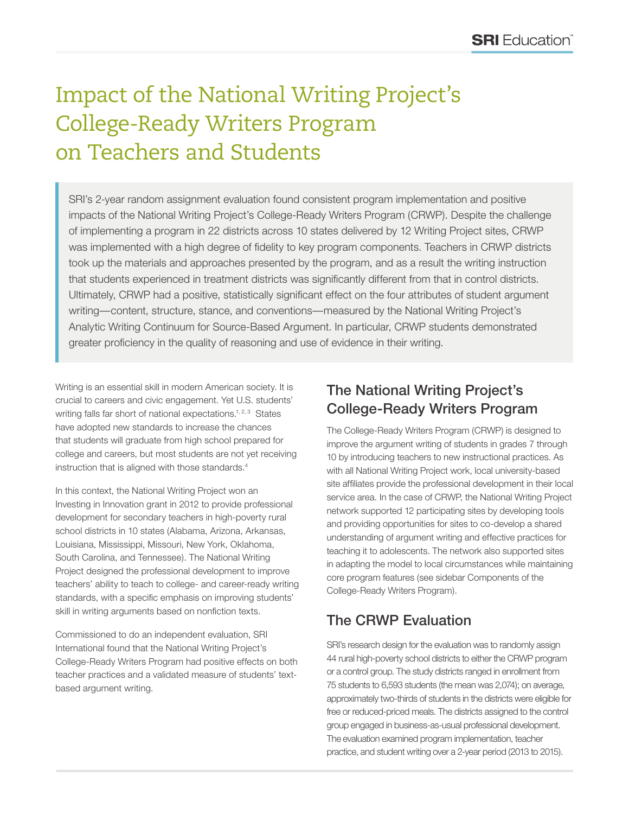# Impact of the National Writing Project's College-Ready Writers Program on Teachers and Students

SRI's 2-year random assignment evaluation found consistent program implementation and positive impacts of the National Writing Project's College-Ready Writers Program (CRWP). Despite the challenge of implementing a program in 22 districts across 10 states delivered by 12 Writing Project sites, CRWP was implemented with a high degree of fidelity to key program components. Teachers in CRWP districts took up the materials and approaches presented by the program, and as a result the writing instruction that students experienced in treatment districts was significantly different from that in control districts. Ultimately, CRWP had a positive, statistically significant effect on the four attributes of student argument writing—content, structure, stance, and conventions—measured by the National Writing Project's Analytic Writing Continuum for Source-Based Argument. In particular, CRWP students demonstrated greater proficiency in the quality of reasoning and use of evidence in their writing.

Writing is an essential skill in modern American society. It is crucial to careers and civic engagement. Yet U.S. students' writing falls far short of national expectations.<sup>1, 2, 3</sup> States have adopted new standards to increase the chances that students will graduate from high school prepared for college and careers, but most students are not yet receiving instruction that is aligned with those standards.<sup>4</sup>

In this context, the National Writing Project won an Investing in Innovation grant in 2012 to provide professional development for secondary teachers in high-poverty rural school districts in 10 states (Alabama, Arizona, Arkansas, Louisiana, Mississippi, Missouri, New York, Oklahoma, South Carolina, and Tennessee). The National Writing Project designed the professional development to improve teachers' ability to teach to college- and career-ready writing standards, with a specific emphasis on improving students' skill in writing arguments based on nonfiction texts.

Commissioned to do an independent evaluation, SRI International found that the National Writing Project's College-Ready Writers Program had positive effects on both teacher practices and a validated measure of students' textbased argument writing.

#### The National Writing Project's College-Ready Writers Program

The College-Ready Writers Program (CRWP) is designed to improve the argument writing of students in grades 7 through 10 by introducing teachers to new instructional practices. As with all National Writing Project work, local university-based site affiliates provide the professional development in their local service area. In the case of CRWP, the National Writing Project network supported 12 participating sites by developing tools and providing opportunities for sites to co-develop a shared understanding of argument writing and effective practices for teaching it to adolescents. The network also supported sites in adapting the model to local circumstances while maintaining core program features (see sidebar Components of the College-Ready Writers Program).

## The CRWP Evaluation

SRI's research design for the evaluation was to randomly assign 44 rural high-poverty school districts to either the CRWP program or a control group. The study districts ranged in enrollment from 75 students to 6,593 students (the mean was 2,074); on average, approximately two-thirds of students in the districts were eligible for free or reduced-priced meals. The districts assigned to the control group engaged in business-as-usual professional development. The evaluation examined program implementation, teacher practice, and student writing over a 2-year period (2013 to 2015).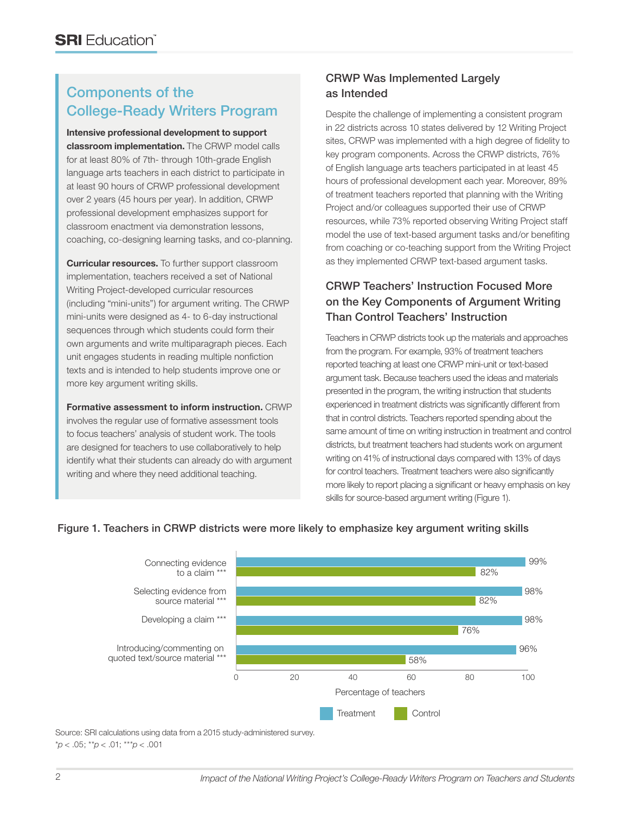## Components of the College-Ready Writers Program

**Intensive professional development to support classroom implementation.** The CRWP model calls for at least 80% of 7th- through 10th-grade English language arts teachers in each district to participate in at least 90 hours of CRWP professional development over 2 years (45 hours per year). In addition, CRWP professional development emphasizes support for classroom enactment via demonstration lessons, coaching, co-designing learning tasks, and co-planning.

**Curricular resources.** To further support classroom implementation, teachers received a set of National Writing Project-developed curricular resources (including "mini-units") for argument writing. The CRWP mini-units were designed as 4- to 6-day instructional sequences through which students could form their own arguments and write multiparagraph pieces. Each unit engages students in reading multiple nonfiction texts and is intended to help students improve one or more key argument writing skills.

**Formative assessment to inform instruction.** CRWP involves the regular use of formative assessment tools to focus teachers' analysis of student work. The tools are designed for teachers to use collaboratively to help identify what their students can already do with argument writing and where they need additional teaching.

#### CRWP Was Implemented Largely as Intended

Despite the challenge of implementing a consistent program in 22 districts across 10 states delivered by 12 Writing Project sites, CRWP was implemented with a high degree of fidelity to key program components. Across the CRWP districts, 76% of English language arts teachers participated in at least 45 hours of professional development each year. Moreover, 89% of treatment teachers reported that planning with the Writing Project and/or colleagues supported their use of CRWP resources, while 73% reported observing Writing Project staff model the use of text-based argument tasks and/or benefiting from coaching or co-teaching support from the Writing Project as they implemented CRWP text-based argument tasks.

#### CRWP Teachers' Instruction Focused More on the Key Components of Argument Writing Than Control Teachers' Instruction

Teachers in CRWP districts took up the materials and approaches from the program. For example, 93% of treatment teachers reported teaching at least one CRWP mini-unit or text-based argument task. Because teachers used the ideas and materials presented in the program, the writing instruction that students experienced in treatment districts was significantly different from that in control districts. Teachers reported spending about the same amount of time on writing instruction in treatment and control districts, but treatment teachers had students work on argument writing on 41% of instructional days compared with 13% of days for control teachers. Treatment teachers were also significantly more likely to report placing a significant or heavy emphasis on key skills for source-based argument writing (Figure 1).



#### Figure 1. Teachers in CRWP districts were more likely to emphasize key argument writing skills

Source: SRI calculations using data from a 2015 study-administered survey. \**p* < .05; \*\**p* < .01; \*\*\**p* < .001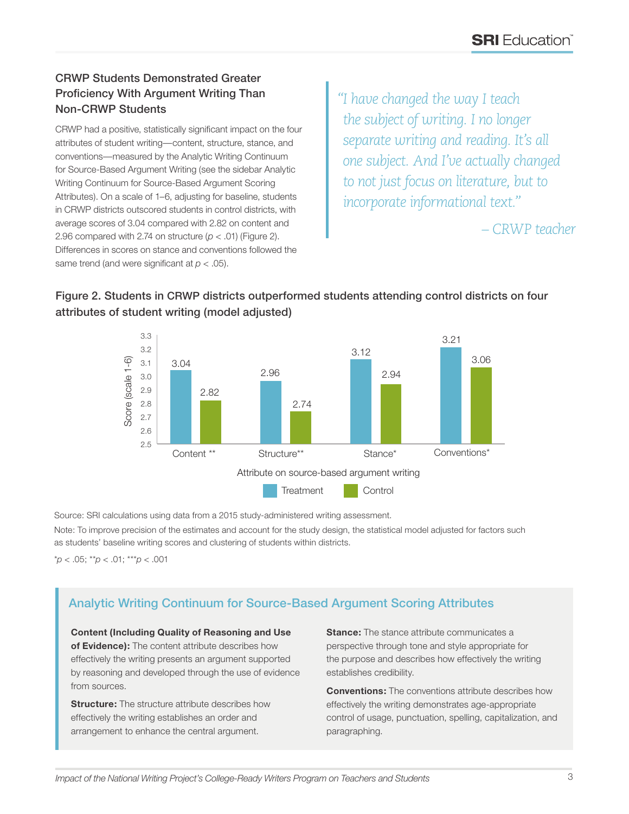#### CRWP Students Demonstrated Greater Proficiency With Argument Writing Than Non-CRWP Students

CRWP had a positive, statistically significant impact on the four attributes of student writing—content, structure, stance, and conventions—measured by the Analytic Writing Continuum for Source-Based Argument Writing (see the sidebar Analytic Writing Continuum for Source-Based Argument Scoring Attributes). On a scale of 1–6, adjusting for baseline, students in CRWP districts outscored students in control districts, with average scores of 3.04 compared with 2.82 on content and 2.96 compared with 2.74 on structure  $(p < .01)$  (Figure 2). Differences in scores on stance and conventions followed the same trend (and were significant at *p* < .05).

*"I have changed the way I teach the subject of writing. I no longer separate writing and reading. It's all one subject. And I've actually changed to not just focus on literature, but to incorporate informational text."*

*– CRWP teacher*



#### Figure 2. Students in CRWP districts outperformed students attending control districts on four attributes of student writing (model adjusted)

Source: SRI calculations using data from a 2015 study-administered writing assessment. Note: To improve precision of the estimates and account for the study design, the statistical model adjusted for factors such

as students' baseline writing scores and clustering of students within districts.

\**p* < .05; \*\**p* < .01; \*\*\**p* < .001

#### Analytic Writing Continuum for Source-Based Argument Scoring Attributes

**Content (Including Quality of Reasoning and Use of Evidence):** The content attribute describes how effectively the writing presents an argument supported by reasoning and developed through the use of evidence from sources.

**Structure:** The structure attribute describes how effectively the writing establishes an order and arrangement to enhance the central argument.

**Stance:** The stance attribute communicates a perspective through tone and style appropriate for the purpose and describes how effectively the writing establishes credibility.

**Conventions:** The conventions attribute describes how effectively the writing demonstrates age-appropriate control of usage, punctuation, spelling, capitalization, and paragraphing.